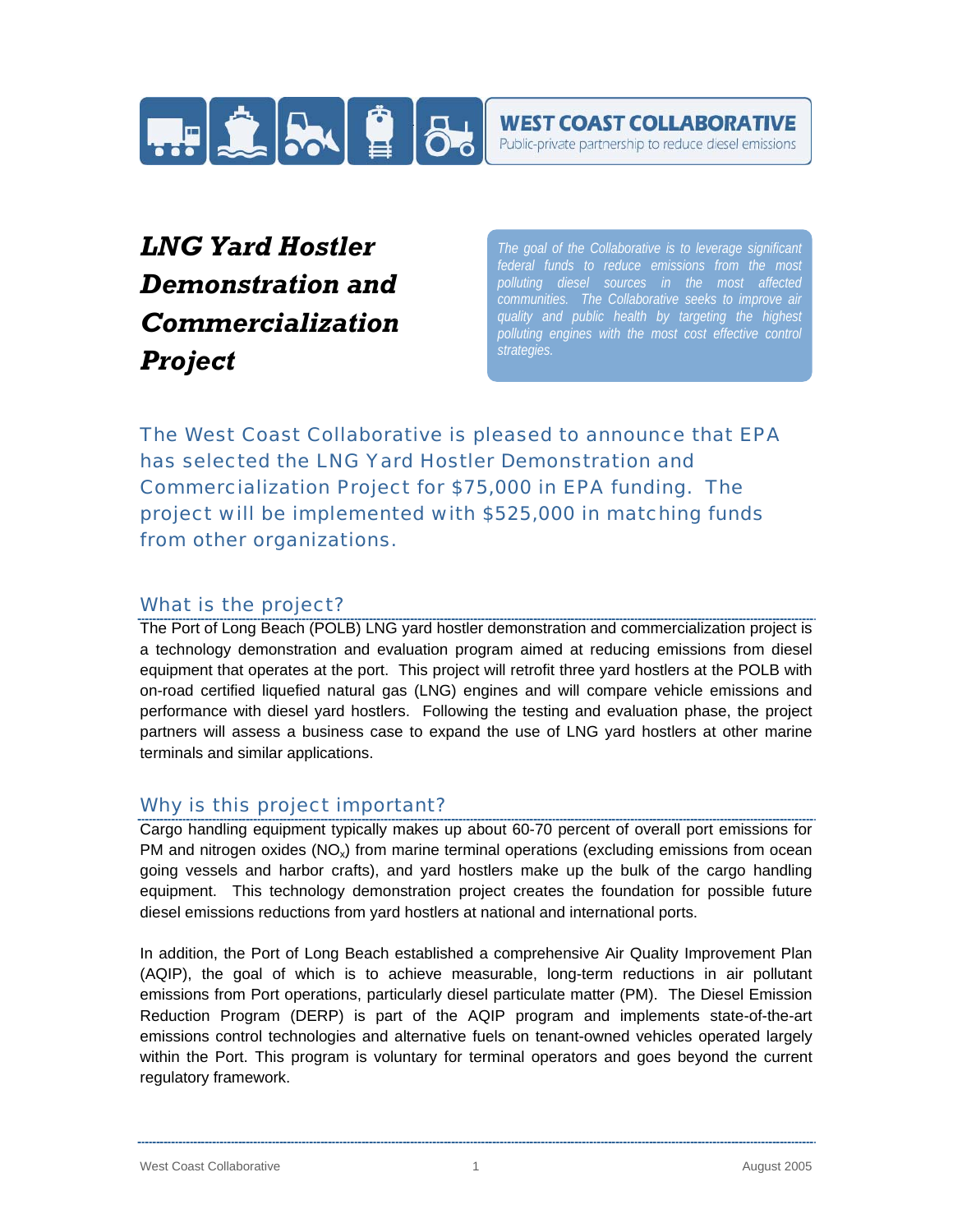

Public-private partnership to reduce diesel emissions

# *LNG Yard Hostler Demonstration and Commercialization Project*

*The goal of the Collaborative is to leverage significant polluting diesel sources in the most affected communities. The Collaborative seeks to improve air quality and public health by targeting the highest polluting engines with the most cost effective control strategies.*

*The West Coast Collaborative is pleased to announce that EPA has selected the LNG Yard Hostler Demonstration and Commercialization Project for \$75,000 in EPA funding. The project will be implemented with \$525,000 in matching funds from other organizations.*

## What is the project?

The Port of Long Beach (POLB) LNG yard hostler demonstration and commercialization project is a technology demonstration and evaluation program aimed at reducing emissions from diesel equipment that operates at the port. This project will retrofit three yard hostlers at the POLB with on-road certified liquefied natural gas (LNG) engines and will compare vehicle emissions and performance with diesel yard hostlers. Following the testing and evaluation phase, the project partners will assess a business case to expand the use of LNG yard hostlers at other marine terminals and similar applications.

## Why is this project important?

Cargo handling equipment typically makes up about 60-70 percent of overall port emissions for PM and nitrogen oxides ( $NO_x$ ) from marine terminal operations (excluding emissions from ocean going vessels and harbor crafts), and yard hostlers make up the bulk of the cargo handling equipment. This technology demonstration project creates the foundation for possible future diesel emissions reductions from yard hostlers at national and international ports.

In addition, the Port of Long Beach established a comprehensive Air Quality Improvement Plan (AQIP), the goal of which is to achieve measurable, long-term reductions in air pollutant emissions from Port operations, particularly diesel particulate matter (PM). The Diesel Emission Reduction Program (DERP) is part of the AQIP program and implements state-of-the-art emissions control technologies and alternative fuels on tenant-owned vehicles operated largely within the Port. This program is voluntary for terminal operators and goes beyond the current regulatory framework.